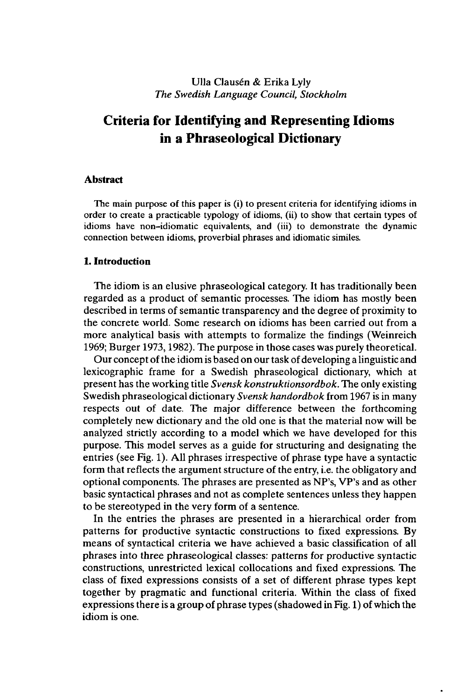## Ulla Clausén & Erika Lyly *The Swedish Language Council, Stockholm*

# **Criteria for Identifying and Representing Idioms in a Phraseological Dictionary**

#### **Abstract**

The main purpose of this paper is (i) to present criteria for identifying idioms in order to create a practicable typology of idioms, (ii) to show that certain types of idioms have non-idiomatic equivalents, and (iii) to demonstrate the dynamic connection between idioms, proverbial phrases and idiomatic similes.

#### **1. Introduction**

The idiom is an elusive phraseological category. It has traditionally been regarded as a product of semantic processes. The idiom has mostly been described in terms of semantic transparency and the degree of proximity to the concrete world. Some research on idioms has been carried out from a more analytical basis with attempts to formalize the findings (Weinreich 1969; Burger 1973,1982). The purpose in those cases was purely theoretical.

Our concept ofthe idiom is based on our task of developing a linguistic and lexicographic frame for a Swedish phraseological dictionary, which at present has the working title *Svensk konstruktionsordbok.* The only existing Swedish phraseological dictionary *Svensk handordbok* from 1967 is in many respects out of date. The major difference between the forthcoming completely new dictionary and the old one is that the material now will be analyzed strictly according to a model which we have developed for this purpose. This model serves as a guide for structuring and designating the entries (see Fig. 1). All phrases irrespective of phrase type have a syntactic form that reflects the argument structure of the entry, i.e. the obligatory and optional components. The phrases are presented as NP's, VP's and as other basic syntactical phrases and not as complete sentences unless they happen to be stereotyped in the very form of a sentence.

In the entries the phrases are presented in a hierarchical order from patterns for productive syntactic constructions to fixed expressions. By means of syntactical criteria we have achieved a basic classification of all phrases into three phraseological classes: patterns for productive syntactic constructions, unrestricted lexical collocations and fixed expressions. The class of fixed expressions consists of a set of different phrase types kept together by pragmatic and functional criteria. Within the class of fixed expressions there is a group of phrase types (shadowed in Fig. 1) of which the idiom is one.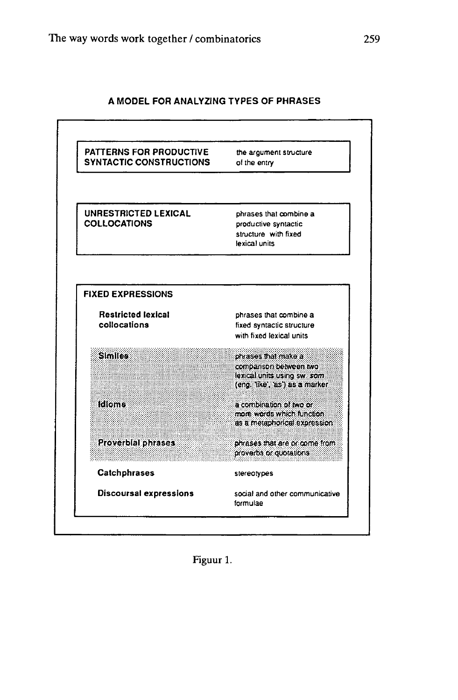## **A MODEL FOR ANALYZING TYPES OF PHRASES**



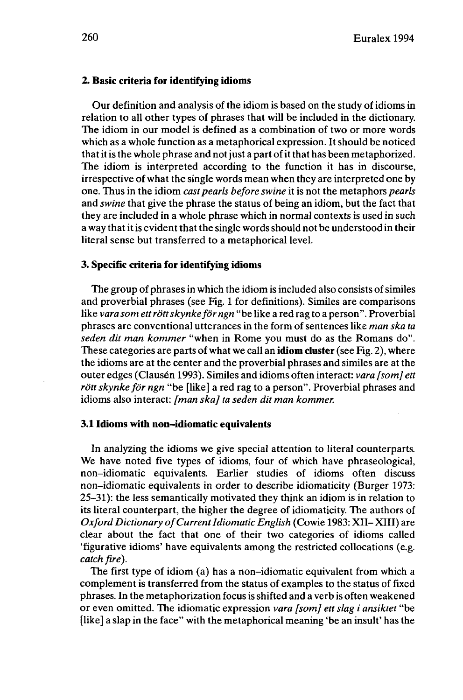#### **2. Basic criteria for identifying idioms**

Our definition and analysis of the idiom is based on the study of idioms in relation to all other types of phrases that will be included in the dictionary. The idiom in our model is defined as a combination of two or more words which as a whole function as a metaphorical expression. It should be noticed that it is the whole phrase and not just a part of it that has been metaphorized. The idiom is interpreted according to the function it has in discourse, irrespective of what the single words mean when they are interpreted one by one. Thus in the idiom *cast pearls before swine* it is not the metaphors *pearls* and *swine* that give the phrase the status of being an idiom, but the fact that they are included in a whole phrase which in normal contexts is used in such a way that it is evident that the single words should not be understood in their literal sense but transferred to a metaphorical level.

### **3. Specific criteria for identifying idioms**

The group of phrases in which the idiom is included also consists of similes and proverbial phrases (see Fig. <sup>1</sup> for definitions). Similes are comparisons like *vara som ettröttskynkeför ngn* "be like a red rag to a person". Proverbial phrases are conventional utterances in the form ofsentences like *man ska ta seden dit man kommer* "when in Rome you must do as the Romans do". These categories are parts of what we call an **idiom cluster** (see Fig. 2), where the idioms are at the center and the proverbial phrases and similes are at the outer edges (Clausen 1993). Similes and idioms often interact: *vara [som] ett rött skynke för ngn* "be [like] a red rag to a person". Proverbial phrases and idioms also interact: *[man ska] ta seden dit man kommer.*

#### **3.1 Idioms with non-idiomatic equivalents**

In analyzing the idioms we give special attention to literal counterparts. We have noted five types of idioms, four of which have phraseological, non-idiomatic equivalents. Earlier studies of idioms often discuss non-idiomatic equivalents in order to describe idiomaticity (Burger 1973: 25-31): the less semantically motivated they think an idiom is in relation to its literal counterpart, the higher the degree of idiomaticity. The authors of *Oxford Dictionary ofCurrentIdiomatic English* (Cowie 1983: XII- XIII) are clear about the fact that one of their two categories of idioms called 'figurative idioms' have equivalents among the restricted collocations (e.g. *catch fire).*

The first type of idiom (a) has a non-idiomatic equivalent from which a complement is transferred from the status of examples to the status of fixed phrases. In the metaphorization focus is shifted and a verb is often weakened or even omitted. The idiomatic expression *vara [som] ett slag i ansiktet* "be [like] a slap in the face" with the metaphorical meaning 'be an insult' has the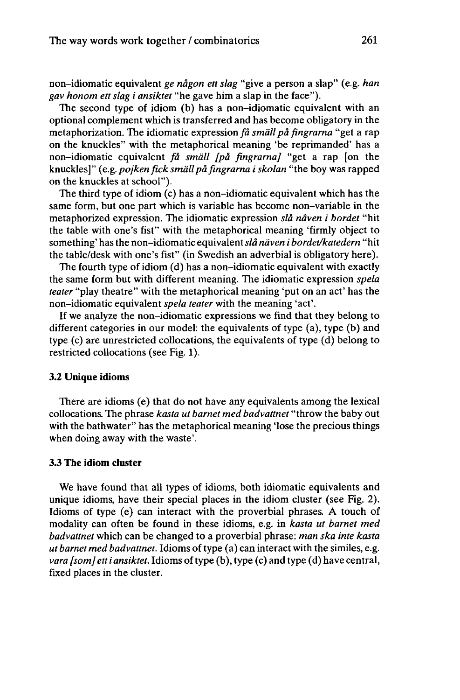non-idiomatic equivalent *ge nagon ett slag* "give a person a slap" (e.g. *han gav honom ett slag i ansiktet* "he gave him a slap in the face").

The second type of idiom (b) has a non-idiomatic equivalent with an optional complement which is transferred and has become obligatory in the metaphorization. The idiomatic expression *fâ small pä fingrarna* "get a rap on the knuckles" with the metaphorical meaning 'be reprimanded' has a non-idiomatic equivalent *fâ small [pâ fingrarna]* "get a rap [on the knuckles]" (e.g.*pojkenficksmallpàfingrarna iskolan* "the boy was rapped on the knuckles at school").

The third type of idiom (c) has a non-idiomatic equivalent which has the same form, but one part which is variable has become non-variable in the metaphorized expression. The idiomatic expression *slâ nâven i bordet* "hit the table with one's fist" with the metaphorical meaning 'firmly object to something' hasthe non-idiomatic equivalent*slâ näven i bordet/katedern* "hit the table/desk with one's fist" (in Swedish an adverbial is obligatory here).

The fourth type of idiom (d) has a non-idiomatic equivalent with exactly the same form but with different meaning. The idiomatic expression *spela teater* "play theatre" with the metaphorical meaning 'put on an act' has the non-idiomatic equivalent *spela teater* with the meaning 'act'.

If we analyze the non-idiomatic expressions we find that they belong to different categories in our model: the equivalents of type (a), type (b) and type (c) are unrestricted collocations, the equivalents of type (d) belong to restricted collocations (see Fig. 1).

#### **3.2 Unique idioms**

There are idioms (e) that do not have any equivalents among the lexical collocations. The phrase *kasta ut barnet med badvattnet* "throw the baby out with the bathwater" has the metaphorical meaning 'lose the precious things when doing away with the waste'.

#### **3.3 The idiom cluster**

We have found that all types of idioms, both idiomatic equivalents and unique idioms, have their special places in the idiom cluster (see Fig. 2). Idioms of type (e) can interact with the proverbial phrases. A touch of modality can often be found in these idioms, e.g. in *kasta ut barnet med badvattnet* which can be changed to a proverbial phrase: *man ska inte kasta ut barnet med badvattnet.* Idioms of type (a) can interact with the similes, e.g. *vara* [som] etti *ansiktet*. Idioms of type (b), type (c) and type (d) have central, fixed places in the cluster.